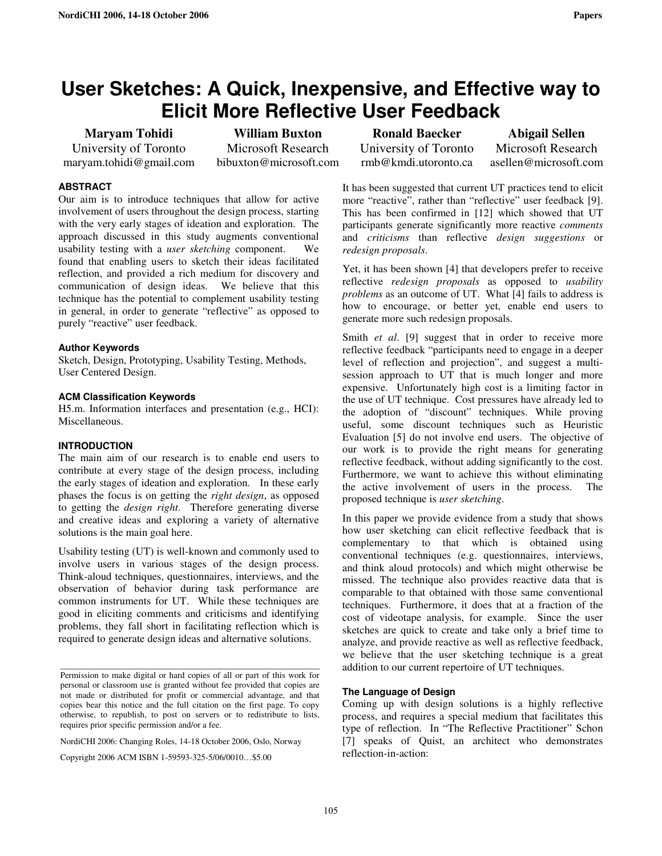# **User Sketches: A Quick, Inexpensive, and Effective way to Elicit More Reflective User Feedback**

**Maryam Tohidi** University of Toronto maryam.tohidi@gmail.com

**William Buxton** Microsoft Research bibuxton@microsoft.com

## **ABSTRACT**

Our aim is to introduce techniques that allow for active involvement of users throughout the design process, starting with the very early stages of ideation and exploration. The approach discussed in this study augments conventional usability testing with a *user sketching* component. We found that enabling users to sketch their ideas facilitated reflection, and provided a rich medium for discovery and communication of design ideas. We believe that this technique has the potential to complement usability testing in general, in order to generate "reflective" as opposed to purely "reactive" user feedback.

### **Author Keywords**

Sketch, Design, Prototyping, Usability Testing, Methods, User Centered Design.

### **ACM Classification Keywords**

H5.m. Information interfaces and presentation (e.g., HCI): Miscellaneous.

### **INTRODUCTION**

The main aim of our research is to enable end users to contribute at every stage of the design process, including the early stages of ideation and exploration. In these early phases the focus is on getting the *right design*, as opposed to getting the *design right*. Therefore generating diverse and creative ideas and exploring a variety of alternative solutions is the main goal here.

Usability testing (UT) is well-known and commonly used to involve users in various stages of the design process. Think-aloud techniques, questionnaires, interviews, and the observation of behavior during task performance are common instruments for UT. While these techniques are good in eliciting comments and criticisms and identifying problems, they fall short in facilitating reflection which is required to generate design ideas and alternative solutions.

NordiCHI 2006: Changing Roles, 14-18 October 2006, Oslo, Norway

Copyright 2006 ACM ISBN 1-59593-325-5/06/0010…\$5.00

**Ronald Baecker** University of Toronto rmb@kmdi.utoronto.ca

**Abigail Sellen** Microsoft Research asellen@microsoft.com

It has been suggested that current UT practices tend to elicit more "reactive", rather than "reflective" user feedback [9]. This has been confirmed in [12] which showed that UT participants generate significantly more reactive *comments* and *criticisms* than reflective *design suggestions* or *redesign proposals*.

Yet, it has been shown [4] that developers prefer to receive reflective *redesign proposals* as opposed to *usability problems* as an outcome of UT. What [4] fails to address is how to encourage, or better yet, enable end users to generate more such redesign proposals.

Smith *et al.* [9] suggest that in order to receive more reflective feedback "participants need to engage in a deeper level of reflection and projection", and suggest a multisession approach to UT that is much longer and more expensive. Unfortunately high cost is a limiting factor in the use of UT technique. Cost pressures have already led to the adoption of "discount" techniques. While proving useful, some discount techniques such as Heuristic Evaluation [5] do not involve end users. The objective of our work is to provide the right means for generating reflective feedback, without adding significantly to the cost. Furthermore, we want to achieve this without eliminating the active involvement of users in the process. The proposed technique is *user sketching*.

In this paper we provide evidence from a study that shows how user sketching can elicit reflective feedback that is complementary to that which is obtained using conventional techniques (e.g. questionnaires, interviews, and think aloud protocols) and which might otherwise be missed. The technique also provides reactive data that is comparable to that obtained with those same conventional techniques. Furthermore, it does that at a fraction of the cost of videotape analysis, for example. Since the user sketches are quick to create and take only a brief time to analyze, and provide reactive as well as reflective feedback, we believe that the user sketching technique is a great addition to our current repertoire of UT techniques.

### **The Language of Design**

Coming up with design solutions is a highly reflective process, and requires a special medium that facilitates this type of reflection. In "The Reflective Practitioner" Schon [7] speaks of Quist, an architect who demonstrates reflection-in-action:

Permission to make digital or hard copies of all or part of this work for personal or classroom use is granted without fee provided that copies are not made or distributed for profit or commercial advantage, and that copies bear this notice and the full citation on the first page. To copy otherwise, to republish, to post on servers or to redistribute to lists, requires prior specific permission and/or a fee.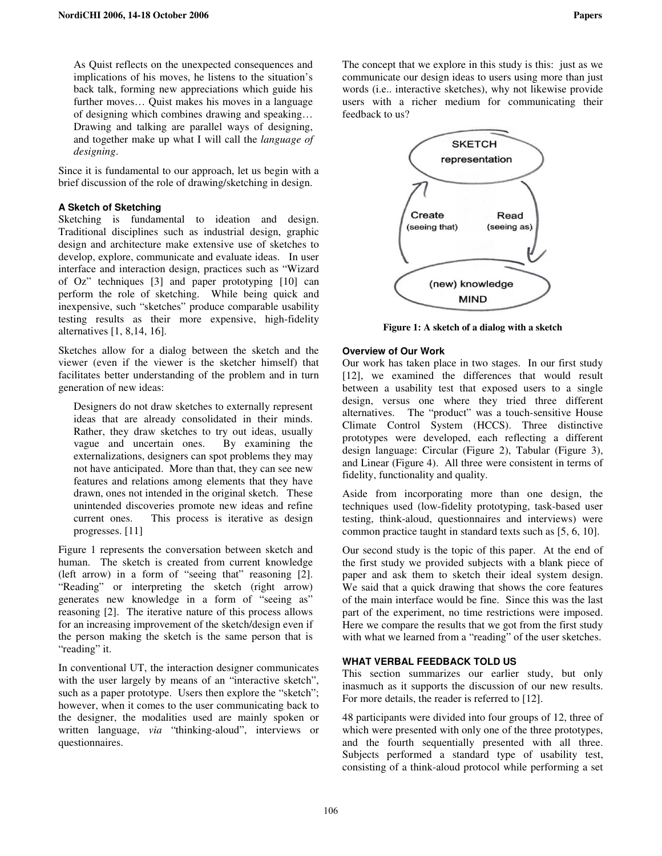Since it is fundamental to our approach, let us begin with a brief discussion of the role of drawing/sketching in design.

### **A Sketch of Sketching**

Sketching is fundamental to ideation and design. Traditional disciplines such as industrial design, graphic design and architecture make extensive use of sketches to develop, explore, communicate and evaluate ideas. In user interface and interaction design, practices such as "Wizard of Oz" techniques [3] and paper prototyping [10] can perform the role of sketching. While being quick and inexpensive, such "sketches" produce comparable usability testing results as their more expensive, high-fidelity alternatives [1, 8,14, 16].

Sketches allow for a dialog between the sketch and the viewer (even if the viewer is the sketcher himself) that facilitates better understanding of the problem and in turn generation of new ideas:

Designers do not draw sketches to externally represent ideas that are already consolidated in their minds. Rather, they draw sketches to try out ideas, usually vague and uncertain ones. By examining the externalizations, designers can spot problems they may not have anticipated. More than that, they can see new features and relations among elements that they have drawn, ones not intended in the original sketch. These unintended discoveries promote new ideas and refine current ones. This process is iterative as design progresses. [11]

Figure 1 represents the conversation between sketch and human. The sketch is created from current knowledge (left arrow) in a form of "seeing that" reasoning [2]. "Reading" or interpreting the sketch (right arrow) generates new knowledge in a form of "seeing as" reasoning [2]. The iterative nature of this process allows for an increasing improvement of the sketch/design even if the person making the sketch is the same person that is "reading" it.

In conventional UT, the interaction designer communicates with the user largely by means of an "interactive sketch", such as a paper prototype. Users then explore the "sketch"; however, when it comes to the user communicating back to the designer, the modalities used are mainly spoken or written language, *via* "thinking-aloud", interviews or questionnaires.

The concept that we explore in this study is this: just as we communicate our design ideas to users using more than just words (i.e.. interactive sketches), why not likewise provide users with a richer medium for communicating their feedback to us?



**Figure 1: A sketch of a dialog with a sketch**

### **Overview of Our Work**

Our work has taken place in two stages. In our first study [12], we examined the differences that would result between a usability test that exposed users to a single design, versus one where they tried three different alternatives. The "product" was a touch-sensitive House Climate Control System (HCCS). Three distinctive prototypes were developed, each reflecting a different design language: Circular (Figure 2), Tabular (Figure 3), and Linear (Figure 4). All three were consistent in terms of fidelity, functionality and quality.

Aside from incorporating more than one design, the techniques used (low-fidelity prototyping, task-based user testing, think-aloud, questionnaires and interviews) were common practice taught in standard texts such as [5, 6, 10].

Our second study is the topic of this paper. At the end of the first study we provided subjects with a blank piece of paper and ask them to sketch their ideal system design. We said that a quick drawing that shows the core features of the main interface would be fine. Since this was the last part of the experiment, no time restrictions were imposed. Here we compare the results that we got from the first study with what we learned from a "reading" of the user sketches.

### **WHAT VERBAL FEEDBACK TOLD US**

This section summarizes our earlier study, but only inasmuch as it supports the discussion of our new results. For more details, the reader is referred to [12].

48 participants were divided into four groups of 12, three of which were presented with only one of the three prototypes, and the fourth sequentially presented with all three. Subjects performed a standard type of usability test, consisting of a think-aloud protocol while performing a set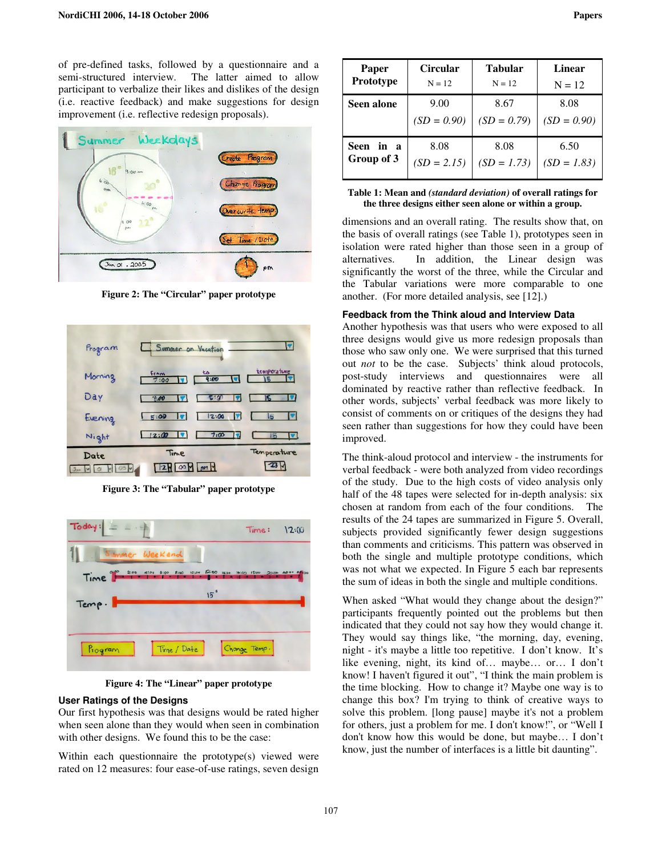of pre-defined tasks, followed by a questionnaire and a semi-structured interview. The latter aimed to allow participant to verbalize their likes and dislikes of the design (i.e. reactive feedback) and make suggestions for design improvement (i.e. reflective redesign proposals).



**Figure 2: The "Circular" paper prototype**



**Figure 3: The "Tabular" paper prototype**



**Figure 4: The "Linear" paper prototype**

### **User Ratings of the Designs**

Our first hypothesis was that designs would be rated higher when seen alone than they would when seen in combination with other designs. We found this to be the case:

Within each questionnaire the prototype(s) viewed were rated on 12 measures: four ease-of-use ratings, seven design

| Paper      | <b>Circular</b> | <b>Tabular</b> | Linear        |
|------------|-----------------|----------------|---------------|
| Prototype  | $N = 12$        | $N = 12$       | $N = 12$      |
| Seen alone | 9.00            | 8.67           | 8.08          |
|            | $(SD = 0.90)$   | $(SD = 0.79)$  | $(SD = 0.90)$ |
| Seen in a  | 8.08            | 8.08           | 6.50          |
| Group of 3 | $(SD = 2.15)$   | $(SD = 1.73)$  | $(SD = 1.83)$ |

### **Table 1: Mean and** *(standard deviation)* **of overall ratings for the three designs either seen alone or within a group.**

dimensions and an overall rating. The results show that, on the basis of overall ratings (see Table 1), prototypes seen in isolation were rated higher than those seen in a group of alternatives. In addition, the Linear design was significantly the worst of the three, while the Circular and the Tabular variations were more comparable to one another. (For more detailed analysis, see [12].)

# **Feedback from the Think aloud and Interview Data**

Another hypothesis was that users who were exposed to all three designs would give us more redesign proposals than those who saw only one. We were surprised that this turned out *not* to be the case. Subjects' think aloud protocols, post-study interviews and questionnaires were all dominated by reactive rather than reflective feedback. In other words, subjects' verbal feedback was more likely to consist of comments on or critiques of the designs they had seen rather than suggestions for how they could have been improved.

The think-aloud protocol and interview - the instruments for verbal feedback - were both analyzed from video recordings of the study. Due to the high costs of video analysis only half of the 48 tapes were selected for in-depth analysis: six chosen at random from each of the four conditions. The results of the 24 tapes are summarized in Figure 5. Overall, subjects provided significantly fewer design suggestions than comments and criticisms. This pattern was observed in both the single and multiple prototype conditions, which was not what we expected. In Figure 5 each bar represents the sum of ideas in both the single and multiple conditions.

When asked "What would they change about the design?" participants frequently pointed out the problems but then indicated that they could not say how they would change it. They would say things like, "the morning, day, evening, night - it's maybe a little too repetitive. I don't know. It's like evening, night, its kind of… maybe… or… I don't know! I haven't figured it out", "I think the main problem is the time blocking. How to change it? Maybe one way is to change this box? I'm trying to think of creative ways to solve this problem. [long pause] maybe it's not a problem for others, just a problem for me. I don't know!", or "Well I don't know how this would be done, but maybe… I don't know, just the number of interfaces is a little bit daunting".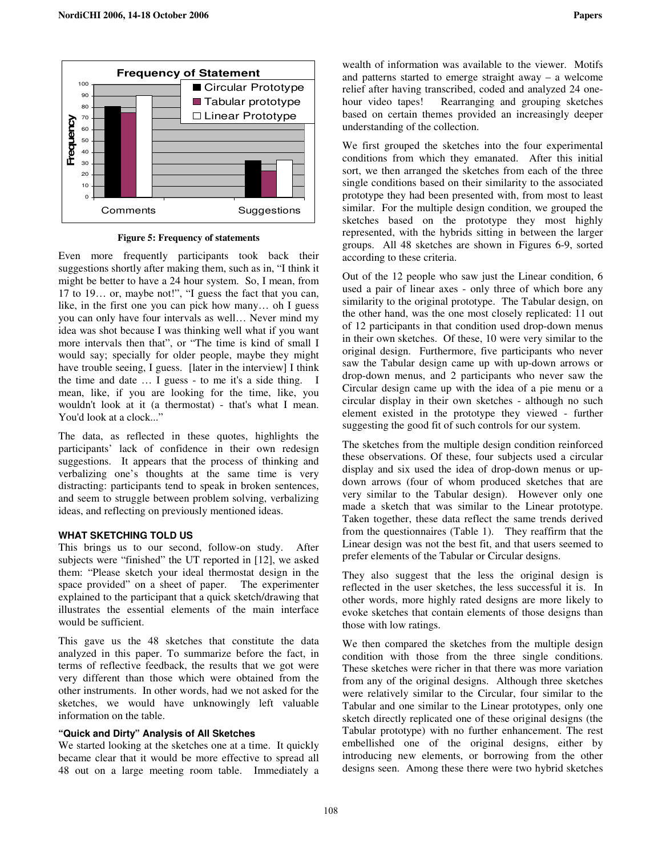

**Figure 5: Frequency of statements**

Even more frequently participants took back their suggestions shortly after making them, such as in, "I think it might be better to have a 24 hour system. So, I mean, from 17 to 19… or, maybe not!", "I guess the fact that you can, like, in the first one you can pick how many… oh I guess you can only have four intervals as well… Never mind my idea was shot because I was thinking well what if you want more intervals then that", or "The time is kind of small I would say; specially for older people, maybe they might have trouble seeing, I guess. [later in the interview] I think the time and date … I guess - to me it's a side thing. I mean, like, if you are looking for the time, like, you wouldn't look at it (a thermostat) - that's what I mean. You'd look at a clock..."

The data, as reflected in these quotes, highlights the participants' lack of confidence in their own redesign suggestions. It appears that the process of thinking and verbalizing one's thoughts at the same time is very distracting: participants tend to speak in broken sentences, and seem to struggle between problem solving, verbalizing ideas, and reflecting on previously mentioned ideas.

# **WHAT SKETCHING TOLD US**

This brings us to our second, follow-on study. After subjects were "finished" the UT reported in [12], we asked them: "Please sketch your ideal thermostat design in the space provided" on a sheet of paper. The experimenter explained to the participant that a quick sketch/drawing that illustrates the essential elements of the main interface would be sufficient.

This gave us the 48 sketches that constitute the data analyzed in this paper. To summarize before the fact, in terms of reflective feedback, the results that we got were very different than those which were obtained from the other instruments. In other words, had we not asked for the sketches, we would have unknowingly left valuable information on the table.

# **"Quick and Dirty" Analysis of All Sketches**

We started looking at the sketches one at a time. It quickly became clear that it would be more effective to spread all 48 out on a large meeting room table. Immediately a wealth of information was available to the viewer. Motifs and patterns started to emerge straight away – a welcome relief after having transcribed, coded and analyzed 24 onehour video tapes! Rearranging and grouping sketches based on certain themes provided an increasingly deeper understanding of the collection.

We first grouped the sketches into the four experimental conditions from which they emanated. After this initial sort, we then arranged the sketches from each of the three single conditions based on their similarity to the associated prototype they had been presented with, from most to least similar. For the multiple design condition, we grouped the sketches based on the prototype they most highly represented, with the hybrids sitting in between the larger groups. All 48 sketches are shown in Figures 6-9, sorted according to these criteria.

Out of the 12 people who saw just the Linear condition, 6 used a pair of linear axes - only three of which bore any similarity to the original prototype. The Tabular design, on the other hand, was the one most closely replicated: 11 out of 12 participants in that condition used drop-down menus in their own sketches. Of these, 10 were very similar to the original design. Furthermore, five participants who never saw the Tabular design came up with up-down arrows or drop-down menus, and 2 participants who never saw the Circular design came up with the idea of a pie menu or a circular display in their own sketches - although no such element existed in the prototype they viewed - further suggesting the good fit of such controls for our system.

The sketches from the multiple design condition reinforced these observations. Of these, four subjects used a circular display and six used the idea of drop-down menus or updown arrows (four of whom produced sketches that are very similar to the Tabular design). However only one made a sketch that was similar to the Linear prototype. Taken together, these data reflect the same trends derived from the questionnaires (Table 1). They reaffirm that the Linear design was not the best fit, and that users seemed to prefer elements of the Tabular or Circular designs.

They also suggest that the less the original design is reflected in the user sketches, the less successful it is. In other words, more highly rated designs are more likely to evoke sketches that contain elements of those designs than those with low ratings.

We then compared the sketches from the multiple design condition with those from the three single conditions. These sketches were richer in that there was more variation from any of the original designs. Although three sketches were relatively similar to the Circular, four similar to the Tabular and one similar to the Linear prototypes, only one sketch directly replicated one of these original designs (the Tabular prototype) with no further enhancement. The rest embellished one of the original designs, either by introducing new elements, or borrowing from the other designs seen. Among these there were two hybrid sketches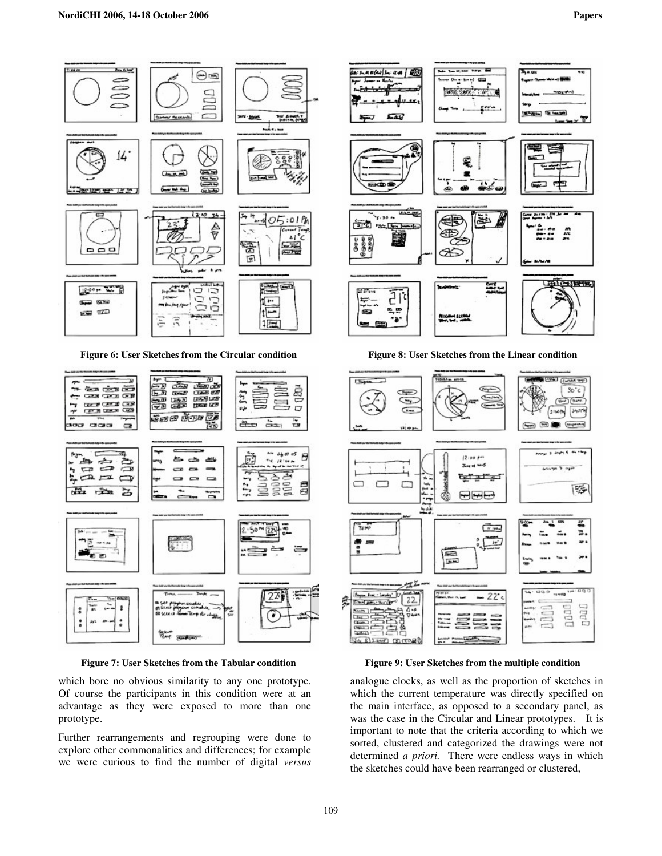

**Figure 7: User Sketches from the Tabular condition**

which bore no obvious similarity to any one prototype. Of course the participants in this condition were at an advantage as they were exposed to more than one prototype.

Further rearrangements and regrouping were done to explore other commonalities and differences; for example we were curious to find the number of digital *versus*

**Figure 9: User Sketches from the multiple condition**

analogue clocks, as well as the proportion of sketches in which the current temperature was directly specified on the main interface, as opposed to a secondary panel, as was the case in the Circular and Linear prototypes. It is important to note that the criteria according to which we sorted, clustered and categorized the drawings were not determined *a priori.* There were endless ways in which the sketches could have been rearranged or clustered,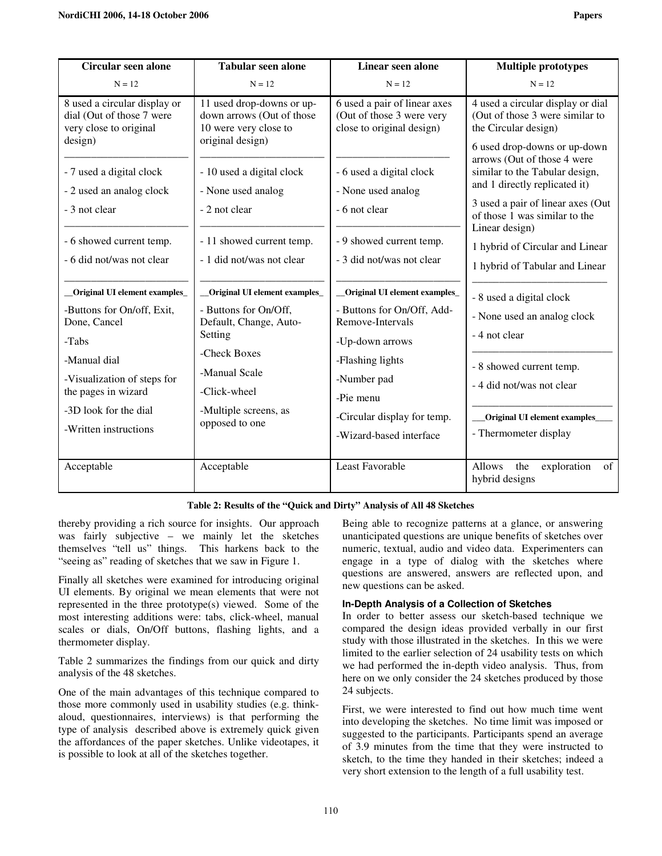| <b>Circular seen alone</b>                                                                                                                                                                                    | <b>Tabular seen alone</b>                                                                                                                                                               | Linear seen alone                                                                                                                                                                                            | <b>Multiple prototypes</b>                                                                                                                                                                                                                                                                                                                                                                                                                                                                                                                                                                       |
|---------------------------------------------------------------------------------------------------------------------------------------------------------------------------------------------------------------|-----------------------------------------------------------------------------------------------------------------------------------------------------------------------------------------|--------------------------------------------------------------------------------------------------------------------------------------------------------------------------------------------------------------|--------------------------------------------------------------------------------------------------------------------------------------------------------------------------------------------------------------------------------------------------------------------------------------------------------------------------------------------------------------------------------------------------------------------------------------------------------------------------------------------------------------------------------------------------------------------------------------------------|
| $N = 12$                                                                                                                                                                                                      | $N = 12$                                                                                                                                                                                | $N = 12$                                                                                                                                                                                                     | $N = 12$                                                                                                                                                                                                                                                                                                                                                                                                                                                                                                                                                                                         |
| 8 used a circular display or<br>dial (Out of those 7 were<br>very close to original<br>design)                                                                                                                | 11 used drop-downs or up-<br>down arrows (Out of those<br>10 were very close to<br>original design)                                                                                     | $6$ used a pair of linear axes<br>(Out of those 3 were very<br>close to original design)                                                                                                                     | 4 used a circular display or dial<br>(Out of those 3 were similar to<br>the Circular design)<br>6 used drop-downs or up-down<br>arrows (Out of those 4 were<br>similar to the Tabular design,<br>and 1 directly replicated it)<br>3 used a pair of linear axes (Out<br>of those 1 was similar to the<br>Linear design)<br>1 hybrid of Circular and Linear<br>1 hybrid of Tabular and Linear<br>- 8 used a digital clock<br>- None used an analog clock<br>- 4 not clear<br>- 8 showed current temp.<br>- 4 did not/was not clear<br><b>Original UI element examples</b><br>- Thermometer display |
| - 7 used a digital clock<br>- 2 used an analog clock<br>- 3 not clear                                                                                                                                         | - 10 used a digital clock<br>- None used analog<br>- 2 not clear                                                                                                                        | - 6 used a digital clock<br>- None used analog<br>- 6 not clear                                                                                                                                              |                                                                                                                                                                                                                                                                                                                                                                                                                                                                                                                                                                                                  |
| - 6 showed current temp.<br>- 6 did not/was not clear                                                                                                                                                         | - 11 showed current temp.<br>- 1 did not/was not clear                                                                                                                                  | - 9 showed current temp.<br>- 3 did not/was not clear                                                                                                                                                        |                                                                                                                                                                                                                                                                                                                                                                                                                                                                                                                                                                                                  |
| _Original UI element examples_<br>-Buttons for On/off, Exit,<br>Done, Cancel<br>-Tabs<br>-Manual dial<br>-Visualization of steps for<br>the pages in wizard<br>-3D look for the dial<br>-Written instructions | Original UI element examples_<br>- Buttons for On/Off,<br>Default, Change, Auto-<br>Setting<br>-Check Boxes<br>-Manual Scale<br>-Click-wheel<br>-Multiple screens, as<br>opposed to one | Original UI element examples_<br>- Buttons for On/Off, Add-<br>Remove-Intervals<br>-Up-down arrows<br>-Flashing lights<br>-Number pad<br>-Pie menu<br>-Circular display for temp.<br>-Wizard-based interface |                                                                                                                                                                                                                                                                                                                                                                                                                                                                                                                                                                                                  |
| Acceptable                                                                                                                                                                                                    | Acceptable                                                                                                                                                                              | Least Favorable                                                                                                                                                                                              | Allows<br>exploration<br>of<br>the<br>hybrid designs                                                                                                                                                                                                                                                                                                                                                                                                                                                                                                                                             |

# **Table 2: Results of the "Quick and Dirty" Analysis of All 48 Sketches**

thereby providing a rich source for insights. Our approach was fairly subjective – we mainly let the sketches themselves "tell us" things. This harkens back to the "seeing as" reading of sketches that we saw in Figure 1.

Finally all sketches were examined for introducing original UI elements. By original we mean elements that were not represented in the three prototype(s) viewed. Some of the most interesting additions were: tabs, click-wheel, manual scales or dials, On/Off buttons, flashing lights, and a thermometer display.

Table 2 summarizes the findings from our quick and dirty analysis of the 48 sketches.

One of the main advantages of this technique compared to those more commonly used in usability studies (e.g. thinkaloud, questionnaires, interviews) is that performing the type of analysis described above is extremely quick given the affordances of the paper sketches. Unlike videotapes, it is possible to look at all of the sketches together.

Being able to recognize patterns at a glance, or answering unanticipated questions are unique benefits of sketches over numeric, textual, audio and video data. Experimenters can engage in a type of dialog with the sketches where questions are answered, answers are reflected upon, and new questions can be asked.

# **In-Depth Analysis of a Collection of Sketches**

In order to better assess our sketch-based technique we compared the design ideas provided verbally in our first study with those illustrated in the sketches. In this we were limited to the earlier selection of 24 usability tests on which we had performed the in-depth video analysis. Thus, from here on we only consider the 24 sketches produced by those 24 subjects.

First, we were interested to find out how much time went into developing the sketches. No time limit was imposed or suggested to the participants. Participants spend an average of 3.9 minutes from the time that they were instructed to sketch, to the time they handed in their sketches; indeed a very short extension to the length of a full usability test.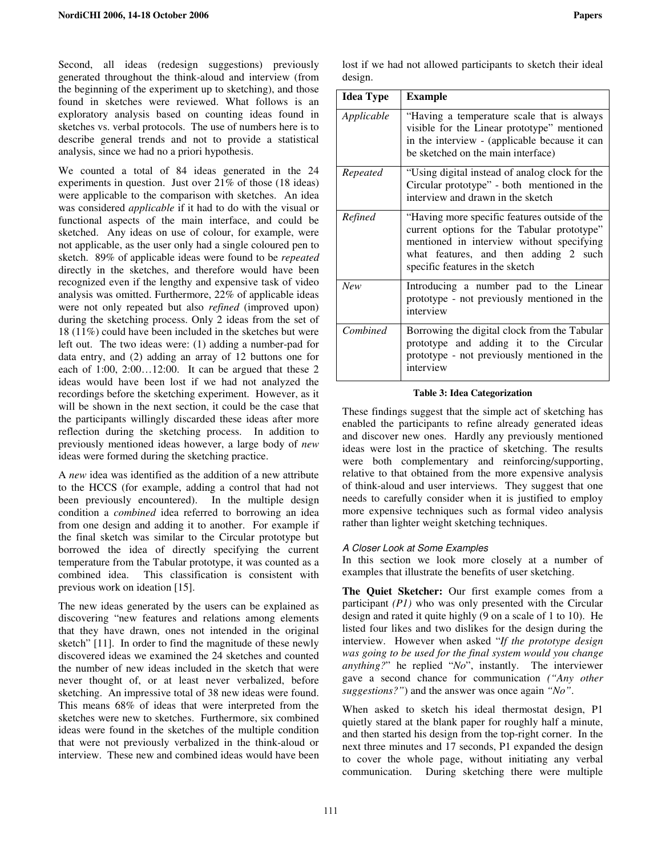Second, all ideas (redesign suggestions) previously generated throughout the think-aloud and interview (from the beginning of the experiment up to sketching), and those found in sketches were reviewed. What follows is an exploratory analysis based on counting ideas found in sketches vs. verbal protocols. The use of numbers here is to describe general trends and not to provide a statistical analysis, since we had no a priori hypothesis.

We counted a total of 84 ideas generated in the 24 experiments in question. Just over 21% of those (18 ideas) were applicable to the comparison with sketches. An idea was considered *applicable* if it had to do with the visual or functional aspects of the main interface, and could be sketched. Any ideas on use of colour, for example, were not applicable, as the user only had a single coloured pen to sketch. 89% of applicable ideas were found to be *repeated* directly in the sketches, and therefore would have been recognized even if the lengthy and expensive task of video analysis was omitted. Furthermore, 22% of applicable ideas were not only repeated but also *refined* (improved upon) during the sketching process. Only 2 ideas from the set of 18 (11%) could have been included in the sketches but were left out. The two ideas were: (1) adding a number-pad for data entry, and (2) adding an array of 12 buttons one for each of 1:00, 2:00…12:00. It can be argued that these 2 ideas would have been lost if we had not analyzed the recordings before the sketching experiment. However, as it will be shown in the next section, it could be the case that the participants willingly discarded these ideas after more reflection during the sketching process. In addition to previously mentioned ideas however, a large body of *new* ideas were formed during the sketching practice.

A *new* idea was identified as the addition of a new attribute to the HCCS (for example, adding a control that had not been previously encountered). In the multiple design condition a *combined* idea referred to borrowing an idea from one design and adding it to another. For example if the final sketch was similar to the Circular prototype but borrowed the idea of directly specifying the current temperature from the Tabular prototype, it was counted as a combined idea. This classification is consistent with previous work on ideation [15].

The new ideas generated by the users can be explained as discovering "new features and relations among elements that they have drawn, ones not intended in the original sketch" [11]. In order to find the magnitude of these newly discovered ideas we examined the 24 sketches and counted the number of new ideas included in the sketch that were never thought of, or at least never verbalized, before sketching. An impressive total of 38 new ideas were found. This means 68% of ideas that were interpreted from the sketches were new to sketches. Furthermore, six combined ideas were found in the sketches of the multiple condition that were not previously verbalized in the think-aloud or interview. These new and combined ideas would have been

lost if we had not allowed participants to sketch their ideal design.

| <b>Idea Type</b> | <b>Example</b>                                                                                                                                                                                                       |
|------------------|----------------------------------------------------------------------------------------------------------------------------------------------------------------------------------------------------------------------|
| Applicable       | "Having a temperature scale that is always<br>visible for the Linear prototype" mentioned<br>in the interview - (applicable because it can<br>be sketched on the main interface)                                     |
| Repeated         | "Using digital instead of analog clock for the<br>Circular prototype" - both mentioned in the<br>interview and drawn in the sketch                                                                                   |
| Refined          | "Having more specific features outside of the<br>current options for the Tabular prototype"<br>mentioned in interview without specifying<br>what features, and then adding 2 such<br>specific features in the sketch |
| New              | Introducing a number pad to the Linear<br>prototype - not previously mentioned in the<br>interview                                                                                                                   |
| Combined         | Borrowing the digital clock from the Tabular<br>prototype and adding it to the Circular<br>prototype - not previously mentioned in the<br>interview                                                                  |

#### **Table 3: Idea Categorization**

These findings suggest that the simple act of sketching has enabled the participants to refine already generated ideas and discover new ones. Hardly any previously mentioned ideas were lost in the practice of sketching. The results were both complementary and reinforcing/supporting, relative to that obtained from the more expensive analysis of think-aloud and user interviews. They suggest that one needs to carefully consider when it is justified to employ more expensive techniques such as formal video analysis rather than lighter weight sketching techniques.

#### *A Closer Look at Some Examples*

In this section we look more closely at a number of examples that illustrate the benefits of user sketching.

**The Quiet Sketcher:** Our first example comes from a participant *(P1)* who was only presented with the Circular design and rated it quite highly (9 on a scale of 1 to 10). He listed four likes and two dislikes for the design during the interview. However when asked "*If the prototype design was going to be used for the final system would you change anything?*" he replied "*No*", instantly. The interviewer gave a second chance for communication *("Any other suggestions?"*) and the answer was once again *"No"*.

When asked to sketch his ideal thermostat design, P1 quietly stared at the blank paper for roughly half a minute, and then started his design from the top-right corner. In the next three minutes and 17 seconds, P1 expanded the design to cover the whole page, without initiating any verbal communication. During sketching there were multiple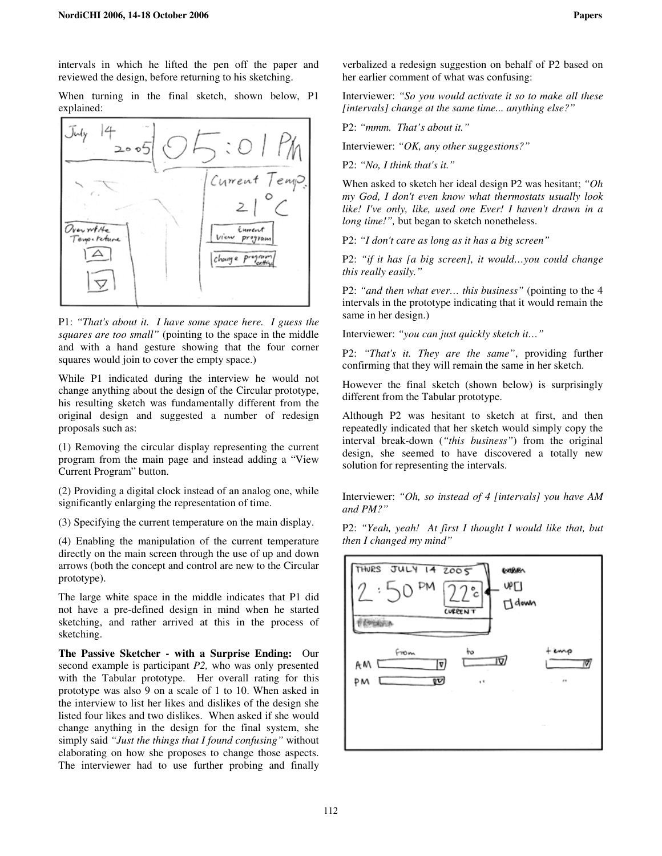When turning in the final sketch, shown below, P1 explained:



P1: *"That's about it. I have some space here. I guess the squares are too small"* (pointing to the space in the middle and with a hand gesture showing that the four corner squares would join to cover the empty space.)

While P1 indicated during the interview he would not change anything about the design of the Circular prototype, his resulting sketch was fundamentally different from the original design and suggested a number of redesign proposals such as:

(1) Removing the circular display representing the current program from the main page and instead adding a "View Current Program" button.

(2) Providing a digital clock instead of an analog one, while significantly enlarging the representation of time.

(3) Specifying the current temperature on the main display.

(4) Enabling the manipulation of the current temperature directly on the main screen through the use of up and down arrows (both the concept and control are new to the Circular prototype).

The large white space in the middle indicates that P1 did not have a pre-defined design in mind when he started sketching, and rather arrived at this in the process of sketching.

**The Passive Sketcher - with a Surprise Ending:** Our second example is participant *P2,* who was only presented with the Tabular prototype. Her overall rating for this prototype was also 9 on a scale of 1 to 10. When asked in the interview to list her likes and dislikes of the design she listed four likes and two dislikes. When asked if she would change anything in the design for the final system, she simply said *"Just the things that I found confusing"* without elaborating on how she proposes to change those aspects. The interviewer had to use further probing and finally verbalized a redesign suggestion on behalf of P2 based on her earlier comment of what was confusing:

Interviewer: *"So you would activate it so to make all these [intervals] change at the same time... anything else?"*

P2: *"mmm. That's about it."*

Interviewer: *"OK, any other suggestions?"*

P2: *"No, I think that's it."*

When asked to sketch her ideal design P2 was hesitant; *"Oh my God, I don't even know what thermostats usually look like! I've only, like, used one Ever! I haven't drawn in a long time!"*, but began to sketch nonetheless.

P2: *"I don't care as long as it has a big screen"*

P2: *"if it has [a big screen], it would…you could change this really easily."*

P2: *"and then what ever… this business"* (pointing to the 4 intervals in the prototype indicating that it would remain the same in her design.)

Interviewer: *"you can just quickly sketch it…"*

P2: *"That's it. They are the same"*, providing further confirming that they will remain the same in her sketch.

However the final sketch (shown below) is surprisingly different from the Tabular prototype.

Although P2 was hesitant to sketch at first, and then repeatedly indicated that her sketch would simply copy the interval break-down (*"this business"*) from the original design, she seemed to have discovered a totally new solution for representing the intervals.

Interviewer: *"Oh, so instead of 4 [intervals] you have AM and PM?"*

P2: *"Yeah, yeah! At first I thought I would like that, but then I changed my mind"*

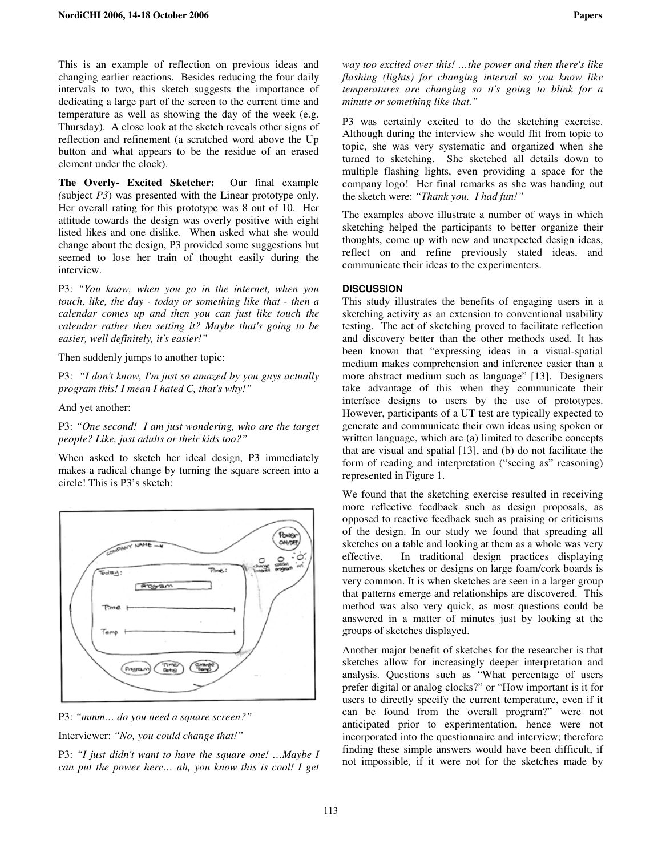This is an example of reflection on previous ideas and changing earlier reactions. Besides reducing the four daily intervals to two, this sketch suggests the importance of dedicating a large part of the screen to the current time and temperature as well as showing the day of the week (e.g. Thursday). A close look at the sketch reveals other signs of reflection and refinement (a scratched word above the Up button and what appears to be the residue of an erased element under the clock).

**The Overly- Excited Sketcher:** Our final example *(*subject *P3*) was presented with the Linear prototype only. Her overall rating for this prototype was 8 out of 10. Her attitude towards the design was overly positive with eight listed likes and one dislike. When asked what she would change about the design, P3 provided some suggestions but seemed to lose her train of thought easily during the interview.

P3: *"You know, when you go in the internet, when you touch, like, the day - today or something like that - then a calendar comes up and then you can just like touch the calendar rather then setting it? Maybe that's going to be easier, well definitely, it's easier!"*

Then suddenly jumps to another topic:

P3: *"I don't know, I'm just so amazed by you guys actually program this! I mean I hated C, that's why!"*

And yet another:

P3: *"One second! I am just wondering, who are the target people? Like, just adults or their kids too?"*

When asked to sketch her ideal design, P3 immediately makes a radical change by turning the square screen into a circle! This is P3's sketch:



P3: *"mmm… do you need a square screen?"*

Interviewer: *"No, you could change that!"*

P3: *"I just didn't want to have the square one! …Maybe I can put the power here… ah, you know this is cool! I get* *way too excited over this! …the power and then there's like flashing (lights) for changing interval so you know like temperatures are changing so it's going to blink for a minute or something like that."*

P3 was certainly excited to do the sketching exercise. Although during the interview she would flit from topic to topic, she was very systematic and organized when she turned to sketching. She sketched all details down to multiple flashing lights, even providing a space for the company logo! Her final remarks as she was handing out the sketch were: *"Thank you. I had fun!"*

The examples above illustrate a number of ways in which sketching helped the participants to better organize their thoughts, come up with new and unexpected design ideas, reflect on and refine previously stated ideas, and communicate their ideas to the experimenters.

## **DISCUSSION**

This study illustrates the benefits of engaging users in a sketching activity as an extension to conventional usability testing. The act of sketching proved to facilitate reflection and discovery better than the other methods used. It has been known that "expressing ideas in a visual-spatial medium makes comprehension and inference easier than a more abstract medium such as language" [13]. Designers take advantage of this when they communicate their interface designs to users by the use of prototypes. However, participants of a UT test are typically expected to generate and communicate their own ideas using spoken or written language, which are (a) limited to describe concepts that are visual and spatial [13], and (b) do not facilitate the form of reading and interpretation ("seeing as" reasoning) represented in Figure 1.

We found that the sketching exercise resulted in receiving more reflective feedback such as design proposals, as opposed to reactive feedback such as praising or criticisms of the design. In our study we found that spreading all sketches on a table and looking at them as a whole was very effective. In traditional design practices displaying numerous sketches or designs on large foam/cork boards is very common. It is when sketches are seen in a larger group that patterns emerge and relationships are discovered. This method was also very quick, as most questions could be answered in a matter of minutes just by looking at the groups of sketches displayed.

Another major benefit of sketches for the researcher is that sketches allow for increasingly deeper interpretation and analysis. Questions such as "What percentage of users prefer digital or analog clocks?" or "How important is it for users to directly specify the current temperature, even if it can be found from the overall program?" were not anticipated prior to experimentation, hence were not incorporated into the questionnaire and interview; therefore finding these simple answers would have been difficult, if not impossible, if it were not for the sketches made by